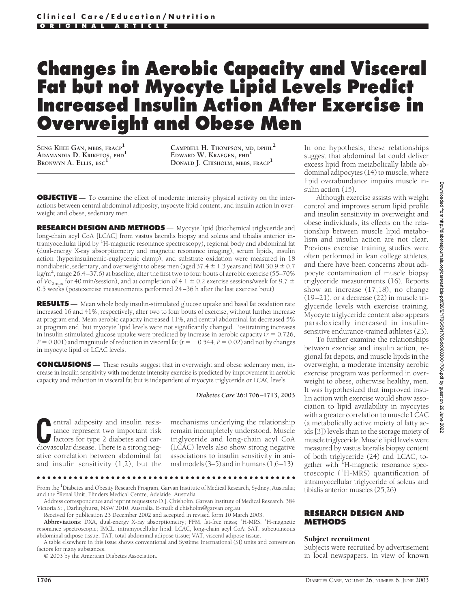# **Changes in Aerobic Capacity and Visceral Fat but not Myocyte Lipid Levels Predict Increased Insulin Action After Exercise in Overweight and Obese Men**

**SENG KHEE GAN, MBBS, FRACP<sup>1</sup> ADAMANDIA D. KRIKETOS, PHD<sup>1</sup> BRONWYN A. ELLIS, BSC<sup>1</sup>**

**CAMPBELL H. THOMPSON, MD, DPHIL<sup>2</sup> EDWARD W. KRAEGEN, PHD<sup>1</sup> DONALD J. CHISHOLM, MBBS, FRACP<sup>1</sup>**

**OBJECTIVE** — To examine the effect of moderate intensity physical activity on the interactions between central abdominal adiposity, myocyte lipid content, and insulin action in overweight and obese, sedentary men.

**RESEARCH DESIGN AND METHODS** — Myocyte lipid (biochemical triglyceride and long-chain acyl CoA [LCAC] from vastus lateralis biopsy and soleus and tibialis anterior intramyocellular lipid by <sup>1</sup>H-magnetic resonance spectroscopy), regional body and abdominal fat (dual-energy X-ray absorptiometry and magnetic resonance imaging), serum lipids, insulin action (hyperinsulinemic-euglycemic clamp), and substrate oxidation were measured in 18 nondiabetic, sedentary, and overweight to obese men (aged 37.4  $\pm$  1.3 years and BMI 30.9  $\pm$  0.7 kg/m2 , range 26.4–37.6) at baseline, after the first two to four bouts of aerobic exercise (55–70% of  $V_{\text{O}_{2\text{max}}}$  for 40 min/session), and at completion of 4.1  $\pm$  0.2 exercise sessions/week for 9.7  $\pm$ 0.5 weeks (postexercise measurements performed 24–36 h after the last exercise bout).

**RESULTS** — Mean whole body insulin-stimulated glucose uptake and basal fat oxidation rate increased 16 and 41%, respectively, after two to four bouts of exercise, without further increase at program end. Mean aerobic capacity increased 11%, and central abdominal fat decreased 5% at program end, but myocyte lipid levels were not significantly changed. Posttraining increases in insulin-stimulated glucose uptake were predicted by increase in aerobic capacity  $(r = 0.726,$  $P = 0.001$  and magnitude of reduction in visceral fat ( $r = -0.544$ ,  $P = 0.02$ ) and not by changes in myocyte lipid or LCAC levels.

**CONCLUSIONS** — These results suggest that in overweight and obese sedentary men, increase in insulin sensitivity with moderate intensity exercise is predicted by improvement in aerobic capacity and reduction in visceral fat but is independent of myocyte triglyceride or LCAC levels.

*Diabetes Care* **26:1706–1713, 2003**

**C**entral adiposity and insulin resistance represent two important risk factors for type 2 diabetes and car-<br>diovascular disease There is a strong negtance represent two important risk diovascular disease. There is a strong negative correlation between abdominal fat and insulin sensitivity (1,2), but the mechanisms underlying the relationship remain incompletely understood. Muscle triglyceride and long-chain acyl CoA (LCAC) levels also show strong negative associations to insulin sensitivity in animal models  $(3-5)$  and in humans  $(1,6-13)$ .

© 2003 by the American Diabetes Association.

In one hypothesis, these relationships suggest that abdominal fat could deliver excess lipid from metabolically labile abdominal adipocytes (14) to muscle, where lipid overabundance impairs muscle insulin action  $(15)$ .

Although exercise assists with weight control and improves serum lipid profile and insulin sensitivity in overweight and obese individuals, its effects on the relationship between muscle lipid metabolism and insulin action are not clear. Previous exercise training studies were often performed in lean college athletes, and there have been concerns about adipocyte contamination of muscle biopsy triglyceride measurements (16). Reports show an increase (17,18), no change (19–21), or a decrease (22) in muscle triglyceride levels with exercise training. Myocyte triglyceride content also appears paradoxically increased in insulinsensitive endurance-trained athletes (23).

To further examine the relationships between exercise and insulin action, regional fat depots, and muscle lipids in the overweight, a moderate intensity aerobic exercise program was performed in overweight to obese, otherwise healthy, men. It was hypothesized that improved insulin action with exercise would show association to lipid availability in myocytes with a greater correlation to muscle LCAC (a metabolically active moiety of fatty acids [3]) levels than to the storage moiety of muscle triglyceride. Muscle lipid levels were measured by vastus lateralis biopsy content of both triglyceride (24) and LCAC, together with <sup>1</sup>H-magnetic resonance spectroscopic (<sup>1</sup> H-MRS) quantification of intramyocellular triglyceride of soleus and tibialis anterior muscles (25,26).

#### **RESEARCH DESIGN AND METHODS**

#### Subject recruitment

Subjects were recruited by advertisement in local newspapers. In view of known

<sup>●●●●●●●●●●●●●●●●●●●●●●●●●●●●●●●●●●●●●●●●●●●●●●●●●</sup>

From the <sup>1</sup>Diabetes and Obesity Research Program, Garvan Institute of Medical Research, Sydney, Australia; and the <sup>2</sup> Renal Unit, Flinders Medical Centre, Adelaide, Australia.

Address correspondence and reprint requests to D.J. Chisholm, Garvan Institute of Medical Research, 384 Victoria St., Darlinghurst, NSW 2010, Australia. E-mail: d.chisholm@garvan.org.au.

Received for publication 23 December 2002 and accepted in revised form 10 March 2003.

Abbreviations: DXA, dual-energy X-ray absorptiometry; FFM, fat-free mass; <sup>1</sup>H-MRS, <sup>1</sup>H-magnetic resonance spectroscopic; IMCL, intramyocellular lipid; LCAC, long-chain acyl CoA; SAT, subcutaneous abdominal adipose tissue; TAT, total abdominal adipose tissue; VAT, visceral adipose tissue.

A table elsewhere in this issue shows conventional and Système International (SI) units and conversion factors for many substances.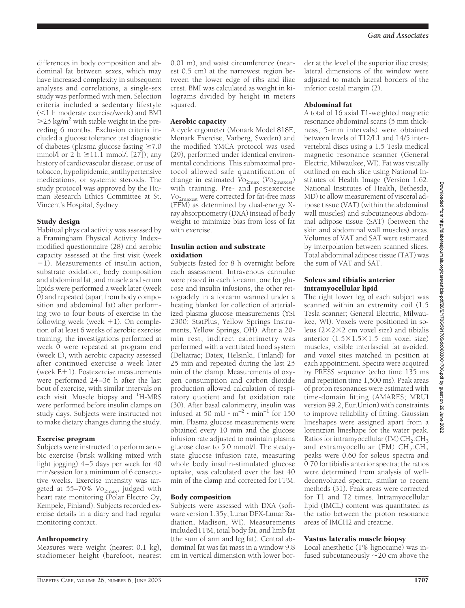differences in body composition and abdominal fat between sexes, which may have increased complexity in subsequent analyses and correlations, a single-sex study was performed with men. Selection criteria included a sedentary lifestyle (<1 h moderate exercise/week) and BMI  $>$ 25 kg/m<sup>2</sup> with stable weight in the preceding 6 months. Exclusion criteria included a glucose tolerance test diagnostic of diabetes (plasma glucose fasting  $\geq 7.0$ mmol/l or 2 h  $\geq$ 11.1 mmol/l [27]); any history of cardiovascular disease; or use of tobacco, hypolipidemic, antihypertensive medications, or systemic steroids. The study protocol was approved by the Human Research Ethics Committee at St. Vincent's Hospital, Sydney.

## Study design

Habitual physical activity was assessed by a Framingham Physical Activity Index– modified questionnaire (28) and aerobic capacity assessed at the first visit (week  $-1$ ). Measurements of insulin action, substrate oxidation, body composition and abdominal fat, and muscle and serum lipids were performed a week later (week 0) and repeated (apart from body composition and abdominal fat) after performing two to four bouts of exercise in the following week (week  $+1$ ). On completion of at least 6 weeks of aerobic exercise training, the investigations performed at week 0 were repeated at program end (week E), with aerobic capacity assessed after continued exercise a week later (week  $E+1$ ). Postexercise measurements were performed 24–36 h after the last bout of exercise, with similar intervals on each visit. Muscle biopsy and <sup>1</sup>H-MRS were performed before insulin clamps on study days. Subjects were instructed not to make dietary changes during the study.

#### Exercise program

Subjects were instructed to perform aerobic exercise (brisk walking mixed with light jogging) 4–5 days per week for 40 min/session for a minimum of 6 consecutive weeks. Exercise intensity was targeted at 55–70% V<sub>O2max</sub>, judged with heart rate monitoring (Polar Electro Oy, Kempele, Finland). Subjects recorded exercise details in a diary and had regular monitoring contact.

#### Anthropometry

Measures were weight (nearest 0.1 kg), stadiometer height (barefoot, nearest

0.01 m), and waist circumference (nearest 0.5 cm) at the narrowest region between the lower edge of ribs and iliac crest. BMI was calculated as weight in kilograms divided by height in meters squared.

#### Aerobic capacity

A cycle ergometer (Monark Model 818E; Monark Exercise, Varberg, Sweden) and the modified YMCA protocol was used (29), performed under identical environmental conditions. This submaximal protocol allowed safe quantification of change in estimated  $V_{{\rm O}_{2\rm max}}$  ( $V_{{\rm O}_{2\rm maxest}}$ ) with training. Pre- and postexercise *V*O2maxest were corrected for fat-free mass (FFM) as determined by dual-energy Xray absorptiometry (DXA) instead of body weight to minimize bias from loss of fat with exercise.

## Insulin action and substrate oxidation

Subjects fasted for 8 h overnight before each assessment. Intravenous cannulae were placed in each forearm, one for glucose and insulin infusions, the other retrogradely in a forearm warmed under a heating blanket for collection of arterialized plasma glucose measurements (YSI 2300; StatPlus, Yellow Springs Instruments, Yellow Springs, OH). After a 20 min rest, indirect calorimetry was performed with a ventilated hood system (Deltatrac; Datex, Helsinki, Finland) for 25 min and repeated during the last 25 min of the clamp. Measurements of oxygen consumption and carbon dioxide production allowed calculation of respiratory quotient and fat oxidation rate (30). After basal calorimetry, insulin was infused at 50 mU  $\cdot$  m<sup>-2</sup>  $\cdot$  min<sup>-1</sup> for 150 min. Plasma glucose measurements were obtained every 10 min and the glucose infusion rate adjusted to maintain plasma glucose close to 5.0 mmol/l. The steadystate glucose infusion rate, measuring whole body insulin-stimulated glucose uptake, was calculated over the last 40 min of the clamp and corrected for FFM.

## Body composition

Subjects were assessed with DXA (software version 1.35y; Lunar DPX-Lunar Radiation, Madison, WI). Measurements included FFM, total body fat, and limb fat (the sum of arm and leg fat). Central abdominal fat was fat mass in a window 9.8 cm in vertical dimension with lower bor-

der at the level of the superior iliac crests; lateral dimensions of the window were adjusted to match lateral borders of the inferior costal margin (2).

## Abdominal fat

A total of 16 axial T1-weighted magnetic resonance abdominal scans (5 mm thickness, 5-mm intervals) were obtained between levels of T12/L1 and L4/5 intervertebral discs using a 1.5 Tesla medical magnetic resonance scanner (General Electric, Milwaukee, WI). Fat was visually outlined on each slice using National Institutes of Health Image (Version 1.62, National Institutes of Health, Bethesda, MD) to allow measurement of visceral adipose tissue (VAT) (within the abdominal wall muscles) and subcutaneous abdominal adipose tissue (SAT) (between the skin and abdominal wall muscles) areas. Volumes of VAT and SAT were estimated by interpolation between scanned slices. Total abdominal adipose tissue (TAT) was the sum of VAT and SAT.

#### Soleus and tibialis anterior intramyocellular lipid

The right lower leg of each subject was scanned within an extremity coil (1.5 Tesla scanner; General Electric, Milwaukee, WI). Voxels were positioned in soleus  $(2 \times 2 \times 2$  cm voxel size) and tibialis anterior  $(1.5\times1.5\times1.5$  cm voxel size) muscles, visible interfascial fat avoided, and voxel sites matched in position at each appointment. Spectra were acquired by PRESS sequence (echo time 135 ms and repetition time 1,500 ms). Peak areas of proton resonances were estimated with time-domain fitting (AMARES; MRUI version 99.2, Eur.Union) with constraints to improve reliability of fitting. Gaussian lineshapes were assigned apart from a lorentzian lineshape for the water peak. Ratios for intramyocellular (IM)  $CH<sub>2</sub>:CH<sub>3</sub>$ and extramyocellular (EM)  $CH_2:CH_3$ peaks were 0.60 for soleus spectra and 0.70 for tibialis anterior spectra; the ratios were determined from analysis of welldeconvoluted spectra, similar to recent methods (31). Peak areas were corrected for T1 and T2 times. Intramyocellular lipid (IMCL) content was quantitated as the ratio between the proton resonance areas of IMCH2 and creatine.

## Vastus lateralis muscle biopsy

Local anesthetic (1% lignocaine) was infused subcutaneously  $\sim$ 20 cm above the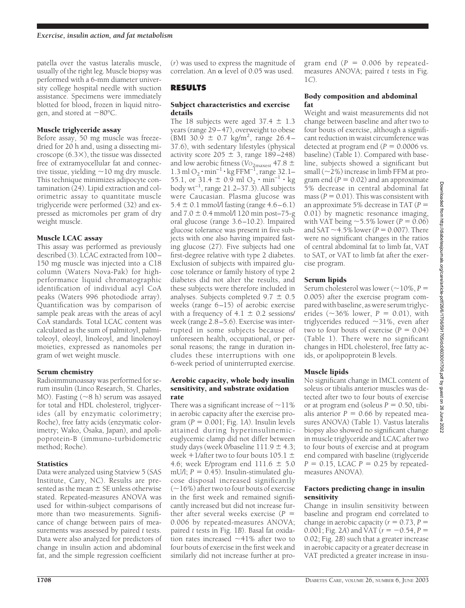patella over the vastus lateralis muscle, usually of the right leg. Muscle biopsy was performed with a 6-mm diameter university college hospital needle with suction assistance. Specimens were immediately blotted for blood**,** frozen in liquid nitrogen, and stored at  $-80^{\circ}$ C.

## Muscle triglyceride assay

Before assay, 50 mg muscle was freezedried for 20 h and, using a dissecting microscope  $(6.3\times)$ , the tissue was dissected free of extramyocellular fat and connective tissue, yielding  $\sim$  10 mg dry muscle. This technique minimizes adipocyte contamination (24). Lipid extraction and colorimetric assay to quantitate muscle triglyceride were performed (32) and expressed as micromoles per gram of dry weight muscle.

## Muscle LCAC assay

This assay was performed as previously described (3). LCAC extracted from 100– 150 mg muscle was injected into a C18 column (Waters Nova-Pak) for highperformance liquid chromatographic identification of individual acyl CoA peaks (Waters 996 photodiode array). Quantification was by comparison of sample peak areas with the areas of acyl CoA standards. Total LCAC content was calculated as the sum of palmitoyl, palmitoleoyl, oleoyl, linoleoyl, and linolenoyl moieties, expressed as nanomoles per gram of wet weight muscle.

## Serum chemistry

Radioimmunoassay was performed for serum insulin (Linco Research, St. Charles, MO). Fasting  $({\sim}8 \text{ h})$  serum was assayed for total and HDL cholesterol, triglycerides (all by enzymatic colorimetry; Roche), free fatty acids (enzymatic colorimetry; Wako, Osaka, Japan), and apolipoprotein-B (immuno-turbidometric method; Roche).

## **Statistics**

Data were analyzed using Statview 5 (SAS Institute, Cary, NC). Results are presented as the mean  $\pm$  SE unless otherwise stated. Repeated-measures ANOVA was used for within-subject comparisons of more than two measurements. Significance of change between pairs of measurements was assessed by paired *t* tests. Data were also analyzed for predictors of change in insulin action and abdominal fat, and the simple regression coefficient

(*r*) was used to express the magnitude of correlation. An  $\alpha$  level of 0.05 was used.

# **RESULTS**

## Subject characteristics and exercise details

The 18 subjects were aged  $37.4 \pm 1.3$ years (range 29–47), overweight to obese  $(BMI 30.9 \pm 0.7 \text{ kg/m}^2, \text{ range } 26.4$ -37.6), with sedentary lifestyles (physical activity score  $205 \pm 3$ , range 189–248) and low aerobic fitness ( $V$ O<sub>2maxest</sub> 47.8  $\pm$  $1.3$  ml O<sub>2</sub>  $\cdot$  min<sup>-1</sup>  $\cdot$  kg FFM<sup>-1</sup>, range 32.1– 55.1, or  $31.4 \pm 0.9 \text{ ml } O_2 \cdot \text{min}^{-1} \cdot \text{kg}$ body  $wt^{-1}$ , range 21.2–37.3). All subjects were Caucasian. Plasma glucose was  $5.4 \pm 0.1$  mmol/l fasting (range  $4.6-6.1$ ) and  $7.0 \pm 0.4$  mmol/l 120 min post-75-g oral glucose (range 3.6–10.2). Impaired glucose tolerance was present in five subjects with one also having impaired fasting glucose (27). Five subjects had one first-degree relative with type 2 diabetes. Exclusion of subjects with impaired glucose tolerance or family history of type 2 diabetes did not alter the results, and these subjects were therefore included in analyses. Subjects completed  $9.7 \pm 0.5$ weeks (range 6–15) of aerobic exercise with a frequency of  $4.1 \pm 0.2$  sessions/ week (range 2.8–5.6). Exercise was interrupted in some subjects because of unforeseen health, occupational, or personal reasons; the range in duration includes these interruptions with one 6-week period of uninterrupted exercise.

#### Aerobic capacity, whole body insulin sensitivity, and substrate oxidation rate

There was a significant increase of  $\sim$ 11% in aerobic capacity after the exercise pro- $\gamma$ gram ( $P = 0.001$ ; Fig. 1*A*). Insulin levels attained during hyperinsulinemiceuglycemic clamp did not differ between study days (week  $0$ /baseline  $111.9 \pm 4.3$ ; week  $+1$ /after two to four bouts 105.1  $\pm$ 4.6; week E/program end  $111.6 \pm 5.0$  $mU/l$ ;  $P = 0.45$ ). Insulin-stimulated glucose disposal increased significantly  $(\sim]16\%)$  after two to four bouts of exercise in the first week and remained significantly increased but did not increase further after several weeks exercise  $(P =$ 0.006 by repeated-measures ANOVA; paired *t* tests in Fig. 1*B*). Basal fat oxidation rates increased  $~1\%$  after two to four bouts of exercise in the first week and similarly did not increase further at pro-

gram end  $(P = 0.006$  by repeatedmeasures ANOVA; paired *t* tests in Fig. 1*C*).

## Body composition and abdominal fat

Weight and waist measurements did not change between baseline and after two to four bouts of exercise, although a significant reduction in waist circumference was detected at program end  $(P = 0.0006 \text{ vs.})$ baseline) (Table 1). Compared with baseline, subjects showed a significant but small  $\left(\sim\!2\%\right)$  increase in limb FFM at program end  $(P = 0.02)$  and an approximate 5% decrease in central abdominal fat mass  $(P = 0.01)$ . This was consistent with an approximate 5% decrease in TAT (*P* = 0.01) by magnetic resonance imaging, with VAT being  $\sim$  5.5% lower ( $P = 0.06$ ) and SAT  $\sim$  4.5% lower ( $P = 0.007$ ). There were no significant changes in the ratios of central abdominal fat to limb fat, VAT to SAT, or VAT to limb fat after the exercise program.

# Serum lipids

Serum cholesterol was lower ( $\sim$  10%, *P* = 0.005) after the exercise program compared with baseline, as were serum triglycerides  $(\sim 36\%$  lower,  $P = 0.01$ ), with triglycerides reduced  $\sim$ 31%, even after two to four bouts of exercise  $(P = 0.04)$ (Table 1). There were no significant changes in HDL cholesterol, free fatty acids, or apolipoprotein B levels.

# Muscle lipids

No significant change in IMCL content of soleus or tibialis anterior muscles was detected after two to four bouts of exercise or at program end (soleus  $P = 0.50$ , tibialis anterior  $P = 0.66$  by repeated measures ANOVA) (Table 1). Vastus lateralis biopsy also showed no significant change in muscle triglyceride and LCAC after two to four bouts of exercise and at program end compared with baseline (triglyceride  $P = 0.15$ , LCAC  $P = 0.25$  by repeatedmeasures ANOVA).

## Factors predicting change in insulin sensitivity

Change in insulin sensitivity between baseline and program end correlated to change in aerobic capacity ( $r = 0.73$ ,  $P =$ 0.001; Fig. 2A) and VAT ( $r = -0.54$ ,  $P =$ 0.02; Fig. 2*B*) such that a greater increase in aerobic capacity or a greater decrease in VAT predicted a greater increase in insu-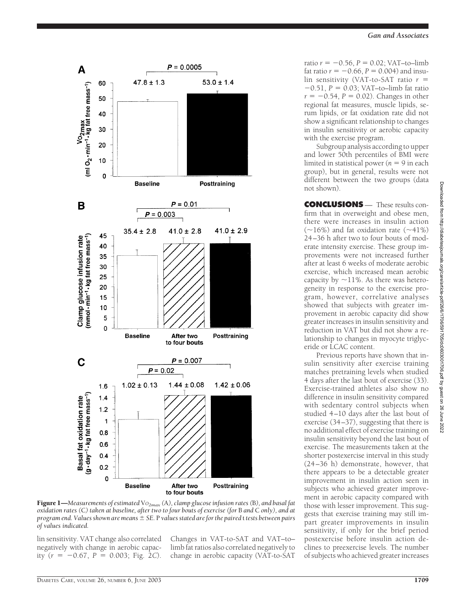

Subgroup analysis according to upper and lower 50th percentiles of BMI were  $l$ imited in statistical power ( $n = 9$  in each group), but in general, results were not different between the two groups (data not shown).

**CONCLUSIONS** — These results confirm that in overweight and obese men, there were increases in insulin action  $(\sim 16\%)$  and fat oxidation rate  $(\sim 41\%)$ 24–36 h after two to four bouts of moderate intensity exercise. These group improvements were not increased further after at least 6 weeks of moderate aerobic exercise, which increased mean aerobic capacity by  $\sim$ 11%. As there was heterogeneity in response to the exercise program, however, correlative analyses showed that subjects with greater improvement in aerobic capacity did show greater increases in insulin sensitivity and reduction in VAT but did not show a relationship to changes in myocyte triglyceride or LCAC content.

Previous reports have shown that insulin sensitivity after exercise training matches pretraining levels when studied 4 days after the last bout of exercise (33). Exercise-trained athletes also show no difference in insulin sensitivity compared with sedentary control subjects when studied 4–10 days after the last bout of exercise (34–37), suggesting that there is no additional effect of exercise training on insulin sensitivity beyond the last bout of exercise. The measurements taken at the shorter postexercise interval in this study (24–36 h) demonstrate, however, that there appears to be a detectable greater improvement in insulin action seen in subjects who achieved greater improvement in aerobic capacity compared with those with lesser improvement. This suggests that exercise training may still impart greater improvements in insulin sensitivity, if only for the brief period postexercise before insulin action declines to preexercise levels. The number of subjects who achieved greater increases

Posttraining **Baseline** After two to four bouts  $P = 0.007$  $P = 0.02$  $1.44 \pm 0.08$  $1.02 \pm 0.13$ 

 $P = 0.0005$ 

 $P = 0.01$ 

 $41.0 \pm 2.8$ 

 $53.0 \pm 1.4$ 

Posttraining

 $41.0 \pm 2.9$ 

 $47.8 \pm 1.3$ 

**Baseline** 

 $35.4 \pm 2.8$ 

 $P = 0.003$ 

A

Vo<sub>2</sub>max<br>(ml O<sub>2</sub> · min<sup>-1</sup> • kg fat free mass<sup>-1</sup>)

B

mmol · min<sup>-1</sup> · kg fat free mass<sup>-1</sup>) Clamp glucose infusion rate

C

60

50

40

30

20

10  $\mathbf 0$ 

45



Figure 1—*Measurements of estimated* V*O2max (*A*), clamp glucose infusion rates (*B*), and basal fat oxidation rates (*C*) taken at baseline, after two to four bouts of exercise (for* B *and* C *only), and at program end. Values shown are means SE.* P *values stated are for the paired* t *tests between pairs of values indicated.*

to four bouts

lin sensitivity. VAT change also correlated negatively with change in aerobic capacity  $(r = -0.67, P = 0.003;$  Fig. 2*C*).

Changes in VAT-to-SAT and VAT–to– limb fat ratios also correlated negatively to change in aerobic capacity (VAT-to-SAT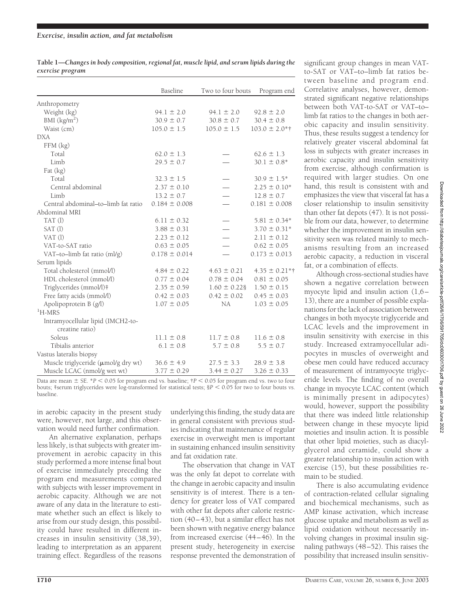| Table 1—Changes in body composition, regional fat, muscle lipid, and serum lipids during the |  |  |
|----------------------------------------------------------------------------------------------|--|--|
| exercise program                                                                             |  |  |

|                                                      | Baseline          | Two to four bouts | Program end       |
|------------------------------------------------------|-------------------|-------------------|-------------------|
| Anthropometry                                        |                   |                   |                   |
| Weight (kg)                                          | $94.1 \pm 2.0$    | $94.1 \pm 2.0$    | $92.8 \pm 2.0$    |
| BMI (kg/m <sup>2</sup> )                             | $30.9 \pm 0.7$    | $30.8 \pm 0.7$    | $30.4 \pm 0.8$    |
| Waist (cm)                                           | $105.0 \pm 1.5$   | $105.0 \pm 1.5$   | $103.0 \pm 2.0*$  |
| <b>DXA</b>                                           |                   |                   |                   |
| FFM (kg)                                             |                   |                   |                   |
| Total                                                | $62.0 \pm 1.3$    |                   | $62.6 \pm 1.3$    |
| Limb                                                 | $29.5 \pm 0.7$    |                   | $30.1 \pm 0.8^*$  |
| Fat (kg)                                             |                   |                   |                   |
| Total                                                | $32.3 \pm 1.5$    |                   | $30.9 \pm 1.5^*$  |
| Central abdominal                                    | $2.37 \pm 0.10$   |                   | $2.25 \pm 0.10*$  |
| Limb                                                 | $13.2 \pm 0.7$    |                   | $12.8 \pm 0.7$    |
| Central abdominal-to-limb fat ratio                  | $0.184 \pm 0.008$ |                   | $0.181 \pm 0.008$ |
| Abdominal MRI                                        |                   |                   |                   |
| TAT(l)                                               | $6.11 \pm 0.32$   |                   | $5.81 \pm 0.34*$  |
| SAT(l)                                               | $3.88 \pm 0.31$   |                   | $3.70 \pm 0.31*$  |
| $VAT$ (l)                                            | $2.23 \pm 0.12$   |                   | $2.11 \pm 0.12$   |
| VAT-to-SAT ratio                                     | $0.63 \pm 0.05$   |                   | $0.62 \pm 0.05$   |
| VAT-to-limb fat ratio (ml/g)                         | $0.178 \pm 0.014$ |                   | $0.173 \pm 0.013$ |
| Serum lipids                                         |                   |                   |                   |
| Total cholesterol (mmol/l)                           | $4.84 \pm 0.22$   | $4.63 \pm 0.21$   | $4.35 \pm 0.21**$ |
| HDL cholesterol (mmol/l)                             | $0.77 \pm 0.04$   | $0.78 \pm 0.04$   | $0.81 \pm 0.05$   |
| Triglycerides (mmol/l)#                              | $2.35 \pm 0.59$   | $1.60 \pm 0.228$  | $1.50 \pm 0.15$   |
| Free fatty acids (mmol/l)                            | $0.42 \pm 0.03$   | $0.42 \pm 0.02$   | $0.45 \pm 0.03$   |
| Apolipoprotein B (g/l)                               | $1.07 \pm 0.05$   | NA                | $1.03 \pm 0.05$   |
| $\mathrm{^{1}H\text{-}MRS}$                          |                   |                   |                   |
| Intramyocellular lipid (IMCH2-to-<br>creatine ratio) |                   |                   |                   |
| Soleus                                               | $11.1 \pm 0.8$    | $11.7 \pm 0.8$    | $11.6 \pm 0.8$    |
| Tibialis anterior                                    | $6.1 \pm 0.8$     | $5.7 \pm 0.8$     | $5.5 \pm 0.7$     |
| Vastus lateralis biopsy                              |                   |                   |                   |
| Muscle triglyceride (umol/g dry wt)                  | $36.6 \pm 4.9$    | $27.5 \pm 3.3$    | $28.9 \pm 3.8$    |
| Muscle LCAC (nmol/g wet wt)                          | $3.77 \pm 0.29$   | $3.44 \pm 0.27$   | $3.26 \pm 0.33$   |

Data are mean  $\pm$  SE. \**P* < 0.05 for program end vs. baseline;  $\uparrow$  *P* < 0.05 for program end vs. two to four bouts; ‡serum triglycerides were log-transformed for statistical tests; §*P* 0.05 for two to four bouts vs. baseline.

in aerobic capacity in the present study were, however, not large, and this observation would need further confirmation.

An alternative explanation, perhaps less likely, is that subjects with greater improvement in aerobic capacity in this study performed a more intense final bout of exercise immediately preceding the program end measurements compared with subjects with lesser improvement in aerobic capacity. Although we are not aware of any data in the literature to estimate whether such an effect is likely to arise from our study design, this possibility could have resulted in different increases in insulin sensitivity (38,39), leading to interpretation as an apparent training effect. Regardless of the reasons

underlying this finding, the study data are in general consistent with previous studies indicating that maintenance of regular exercise in overweight men is important in sustaining enhanced insulin sensitivity and fat oxidation rate.

The observation that change in VAT was the only fat depot to correlate with the change in aerobic capacity and insulin sensitivity is of interest. There is a tendency for greater loss of VAT compared with other fat depots after calorie restriction (40–43), but a similar effect has not been shown with negative energy balance from increased exercise (44–46). In the present study, heterogeneity in exercise response prevented the demonstration of

significant group changes in mean VATto-SAT or VAT–to–limb fat ratios between baseline and program end. Correlative analyses, however, demonstrated significant negative relationships between both VAT-to-SAT or VAT–to– limb fat ratios to the changes in both aerobic capacity and insulin sensitivity. Thus, these results suggest a tendency for relatively greater visceral abdominal fat loss in subjects with greater increases in aerobic capacity and insulin sensitivity from exercise, although confirmation is required with larger studies. On one hand, this result is consistent with and emphasizes the view that visceral fat has a closer relationship to insulin sensitivity than other fat depots (47). It is not possible from our data, however, to determine whether the improvement in insulin sensitivity seen was related mainly to mechanisms resulting from an increased aerobic capacity, a reduction in visceral fat, or a combination of effects.

Although cross-sectional studies have shown a negative correlation between myocyte lipid and insulin action (1,6– 13), there are a number of possible explanations for the lack of association between changes in both myocyte triglyceride and LCAC levels and the improvement in insulin sensitivity with exercise in this study. Increased extramyocellular adipocytes in muscles of overweight and obese men could have reduced accuracy of measurement of intramyocyte triglyceride levels. The finding of no overall change in myocyte LCAC content (which is minimally present in adipocytes) would, however, support the possibility that there was indeed little relationship between change in these myocyte lipid moieties and insulin action. It is possible that other lipid moieties, such as diacylglycerol and ceramide, could show a greater relationship to insulin action with exercise (15), but these possibilities remain to be studied.

There is also accumulating evidence of contraction-related cellular signaling and biochemical mechanisms, such as AMP kinase activation, which increase glucose uptake and metabolism as well as lipid oxidation without necessarily involving changes in proximal insulin signaling pathways (48–52). This raises the possibility that increased insulin sensitiv-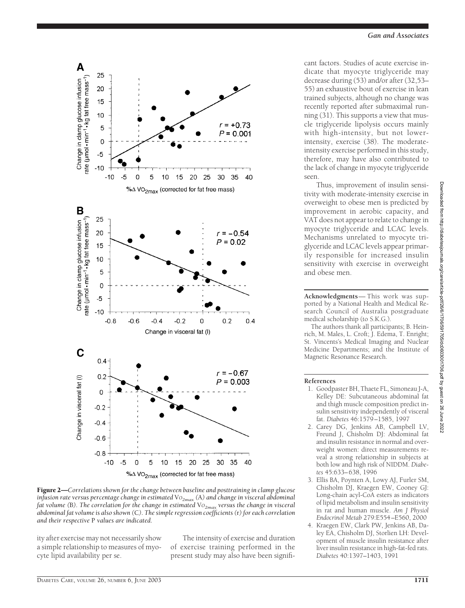2022



Figure 2—*Correlations shown for the change between baseline and posttraining in clamp glucose infusion rate versus percentage change in estimated* V*O2max (*A*) and change in visceral abdominal fat volume (B). The correlation for the change in estimated VO<sub>2max</sub> versus the change in visceral abdominal fat volume is also shown (*C*). The simple regression coefficients (*r*) for each correlation and their respective* P *values are indicated.*

ity after exercise may not necessarily show a simple relationship to measures of myocyte lipid availability per se.

The intensity of exercise and duration of exercise training performed in the present study may also have been significant factors. Studies of acute exercise indicate that myocyte triglyceride may decrease during (53) and/or after (32,53– 55) an exhaustive bout of exercise in lean trained subjects, although no change was recently reported after submaximal running (31). This supports a view that muscle triglyceride lipolysis occurs mainly with high-intensity, but not lowerintensity, exercise (38). The moderateintensity exercise performed in this study, therefore, may have also contributed to the lack of change in myocyte triglyceride seen.

*Gan and Associates*

Thus, improvement of insulin sensitivity with moderate-intensity exercise in overweight to obese men is predicted by improvement in aerobic capacity, and VAT does not appear to relate to change in myocyte triglyceride and LCAC levels. Mechanisms unrelated to myocyte triglyceride and LCAC levels appear primarily responsible for increased insulin sensitivity with exercise in overweight and obese men.

**Acknowledgments**— This work was supported by a National Health and Medical Research Council of Australia postgraduate medical scholarship (to S.K.G.).

The authors thank all participants; B. Heinrich, M. Males, L. Croft; J. Edema, T. Enright; St. Vincents's Medical Imaging and Nuclear Medicine Departments; and the Institute of Magnetic Resonance Research.

#### **References**

- 1. Goodpaster BH, Thaete FL, Simoneau J-A, Kelley DE: Subcutaneous abdominal fat and thigh muscle composition predict insulin sensitivity independently of visceral fat. *Diabetes* 46:1579–1585, 1997
- 2. Carey DG, Jenkins AB, Campbell LV, Freund J, Chisholm DJ: Abdominal fat and insulin resistance in normal and overweight women: direct measurements reveal a strong relationship in subjects at both low and high risk of NIDDM. *Diabetes* 45:633–638, 1996
- 3. Ellis BA, Poynten A, Lowy AJ, Furler SM, Chisholm DJ, Kraegen EW, Cooney GJ: Long-chain acyl-CoA esters as indicators of lipid metabolism and insulin sensitivity in rat and human muscle. *Am J Physiol Endocrinol Metab* 279:E554–E560, 2000
- 4. Kraegen EW, Clark PW, Jenkins AB, Daley EA, Chisholm DJ, Storlien LH: Development of muscle insulin resistance after liver insulin resistance in high-fat-fed rats. *Diabetes* 40:1397–1403, 1991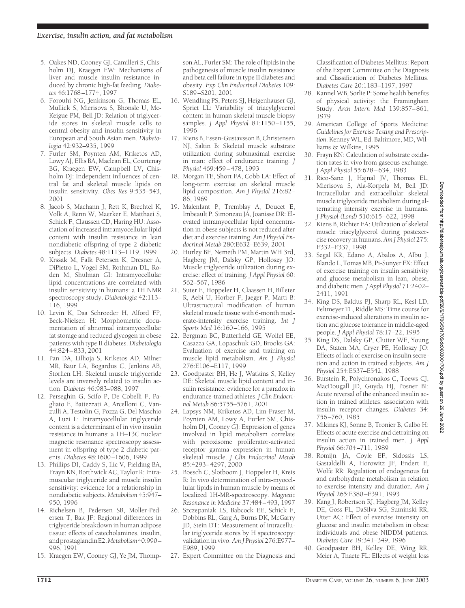- 5. Oakes ND, Cooney GJ, Camilleri S, Chisholm DJ, Kraegen EW: Mechanisms of liver and muscle insulin resistance induced by chronic high-fat feeding. *Diabetes* 46:1768–1774, 1997
- 6. Forouhi NG, Jenkinson G, Thomas EL, Mullick S, Mierisova S, Bhonsle U, Mc-Keigue PM, Bell JD: Relation of triglyceride stores in skeletal muscle cells to central obesity and insulin sensitivity in European and South Asian men. *Diabetologia* 42:932–935, 1999
- 7. Furler SM, Poynten AM, Kriketos AD, Lowy AJ, Ellis BA, Maclean EL, Courtenay BG, Kraegen EW, Campbell LV, Chisholm DJ: Independent influences of central fat and skeletal muscle lipids on insulin sensitivity. *Obes Res* 9:535–543, 2001
- 8. Jacob S, Machann J, Rett K, Brechtel K, Volk A, Renn W, Maerker E, Matthaei S, Schick F, Claussen CD, Haring HU: Association of increased intramyocellular lipid content with insulin resistance in lean nondiabetic offspring of type 2 diabetic subjects. *Diabetes* 48:1113–1119, 1999
- 9. Krssak M, Falk Petersen K, Dresner A, DiPietro L, Vogel SM, Rothman DL, Roden M, Shulman GI: Intramyocellular lipid concentrations are correlated with insulin sensitivity in humans: a 1H NMR spectroscopy study. *Diabetologia* 42:113– 116, 1999
- 10. Levin K, Daa Schroeder H, Alford FP, Beck-Nielsen H: Morphometric documentation of abnormal intramyocellular fat storage and reduced glycogen in obese patients with type II diabetes. *Diabetologia* 44:824–833, 2001
- 11. Pan DA, Lillioja S, Kriketos AD, Milner MR, Baur LA, Bogardus C, Jenkins AB, Storlien LH: Skeletal muscle triglyceride levels are inversely related to insulin action. *Diabetes* 46:983–988, 1997
- 12. Perseghin G, Scifo P, De Cobelli F, Pagliato E, Battezzati A, Arcelloni C, Vanzulli A, Testolin G, Pozza G, Del Maschio A, Luzi L: Intramyocellular triglyceride content is a determinant of in vivo insulin resistance in humans: a 1H–13C nuclear magnetic resonance spectroscopy assessment in offspring of type 2 diabetic parents. *Diabetes* 48:1600–1606, 1999
- 13. Phillips DI, Caddy S, Ilic V, Fielding BA, Frayn KN, Borthwick AC, Taylor R: Intramuscular triglyceride and muscle insulin sensitivity: evidence for a relationship in nondiabetic subjects. *Metabolism* 45:947– 950, 1996
- 14. Richelsen B, Pedersen SB, Moller-Pedersen T, Bak JF: Regional differences in triglyceride breakdown in human adipose tissue: effects of catecholamines, insulin, andprostaglandinE2.*Metabolism*40:990– 996, 1991
- 15. Kraegen EW, Cooney GJ, Ye JM, Thomp-

son AL, Furler SM: The role of lipids in the pathogenesis of muscle insulin resistance and beta cell failure in type II diabetes and obesity. *Exp Clin Endocrinol Diabetes* 109: S189–S201, 2001

- 16. Wendling PS, Peters SJ, Heigenhauser GJ, Spriet LL: Variability of triacylglycerol content in human skeletal muscle biopsy samples. *J Appl Physiol* 81:1150–1155, 1996
- 17. Kiens B, Essen-Gustavsson B, Christensen NJ, Saltin B: Skeletal muscle substrate utilization during submaximal exercise in man: effect of endurance training. *J Physiol* 469:459–478, 1993
- 18. Morgan TE, Short FA, Cobb LA: Effect of long-term exercise on skeletal muscle lipid composition. *Am J Physiol* 216:82– 86, 1969
- 19. Malenfant P, Tremblay A, Doucet E, Imbeault P, Simoneau JA, Joanisse DR: Elevated intramyocellular lipid concentration in obese subjects is not reduced after diet and exercise training. *Am J Physiol Endocrinol Metab* 280:E632–E639, 2001
- 20. Hurley BF, Nemeth PM, Martin WH 3rd, Hagberg JM, Dalsky GP, Holloszy JO: Muscle triglyceride utilization during exercise: effect of training. *J Appl Physiol* 60: 562–567, 1986
- 21. Suter E, Hoppeler H, Claassen H, Billeter R, Aebi U, Horber F, Jaeger P, Marti B: Ultrastructural modification of human skeletal muscle tissue with 6-month moderate-intensity exercise training. *Int J Sports Med* 16:160–166, 1995
- 22. Bergman BC, Butterfield GE, Wolfel EE, Casazza GA, Lopaschuk GD, Brooks GA: Evaluation of exercise and training on muscle lipid metabolism. *Am J Physiol* 276:E106–E117, 1999
- 23. Goodpaster BH, He J, Watkins S, Kelley DE: Skeletal muscle lipid content and insulin resistance: evidence for a paradox in endurance-trained athletes. *J Clin Endocrinol Metab* 86:5755–5761, 2001
- 24. Lapsys NM, Kriketos AD, Lim-Fraser M, Poynten AM, Lowy A, Furler SM, Chisholm DJ, Cooney GJ: Expression of genes involved in lipid metabolism correlate with peroxisome proliferator-activated receptor gamma expression in human skeletal muscle. *J Clin Endocrinol Metab* 85:4293–4297, 2000
- 25. Boesch C, Slotboom J, Hoppeler H, Kreis R: In vivo determination of intra-myocellular lipids in human muscle by means of localized 1H-MR-spectroscopy. *Magnetic Resonance in Medicine* 37:484–493, 1997
- 26. Szczepaniak LS, Babcock EE, Schick F, Dobbins RL, Garg A, Burns DK, McGarry JD, Stein DT: Measurement of intracellular triglyceride stores by H spectroscopy: validation in vivo. *Am J Physiol* 276:E977– E989, 1999
- 27. Expert Committee on the Diagnosis and

Classification of Diabetes Mellitus: Report of the Expert Committee on the Diagnosis and Classification of Diabetes Mellitus. *Diabetes Care* 20:1183–1197, 1997

- 28. Kannel WB, Sorlie P: Some health benefits of physical activity: the Framingham Study. *Arch Intern Med* 139:857–861, 1979
- 29. American College of Sports Medicine: *Guidelines for Exercise Testing and Prescription*. Kenney WL, Ed. Baltimore, MD, Williams & Wilkins, 1995
- 30. Frayn KN: Calculation of substrate oxidation rates in vivo from gaseous exchange. *J Appl Physiol* 55:628–634, 1983
- 31. Rico-Sanz J, Hajnal JV, Thomas EL, Mierisova S, Ala-Korpela M, Bell JD: Intracellular and extracellular skeletal muscle triglyceride metabolism during alternating intensity exercise in humans. *J Physiol (Lond)* 510:615–622, 1998
- 32. Kiens B, Richter EA: Utilization of skeletal muscle triacylglycerol during postexercise recovery in humans. *Am J Physiol* 275: E332–E337, 1998
- 33. Segal KR, Edano A, Abalos A, Albu J, Blando L, Tomas MB, Pi-Sunyer FX: Effect of exercise training on insulin sensitivity and glucose metabolism in lean, obese, and diabetic men. *J Appl Physiol* 71:2402– 2411, 1991
- 34. King DS, Baldus PJ, Sharp RL, Kesl LD, Feltmeyer TL, Riddle MS: Time course for exercise-induced alterations in insulin action and glucose tolerance in middle-aged people. *J Appl Physiol* 78:17–22, 1995
- 35. King DS, Dalsky GP, Clutter WE, Young DA, Staten MA, Cryer PE, Holloszy JO: Effects of lack of exercise on insulin secretion and action in trained subjects. *Am J Physiol* 254:E537–E542, 1988
- 36. Burstein R, Polychronakos C, Toews CJ, MacDougall JD, Guyda HJ, Posner BI: Acute reversal of the enhanced insulin action in trained athletes: association with insulin receptor changes. *Diabetes* 34: 756–760, 1985
- 37. Mikines KJ, Sonne B, Tronier B, Galbo H: Effects of acute exercise and detraining on insulin action in trained men. *J Appl Physiol* 66:704–711, 1989
- 38. Romijn JA, Coyle EF, Sidossis LS, Gastaldelli A, Horowitz JF, Endert E, Wolfe RR: Regulation of endogenous fat and carbohydrate metabolism in relation to exercise intensity and duration. *Am J Physiol* 265:E380–E391, 1993
- 39. Kang J, Robertson RJ, Hagberg JM, Kelley DE, Goss FL, DaSilva SG, Suminski RR, Utter AC: Effect of exercise intensity on glucose and insulin metabolism in obese individuals and obese NIDDM patients. *Diabetes Care* 19:341–349, 1996
- 40. Goodpaster BH, Kelley DE, Wing RR, Meier A, Thaete FL: Effects of weight loss